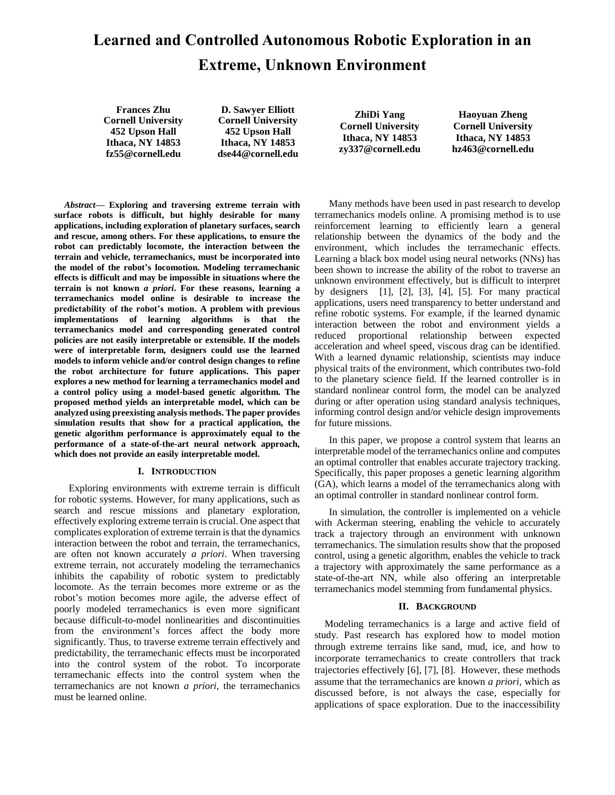# **Learned and Controlled Autonomous Robotic Exploration in an Extreme, Unknown Environment**

**Frances Zhu Cornell University 452 Upson Hall Ithaca, NY 14853 fz55@cornell.edu**

**D. Sawyer Elliott Cornell University 452 Upson Hall Ithaca, NY 14853 dse44@cornell.edu**

**ZhiDi Yang Cornell University Ithaca, NY 14853 zy337@cornell.edu**

**Haoyuan Zheng Cornell University Ithaca, NY 14853 hz463@cornell.edu**

*Abstract***— Exploring and traversing extreme terrain with surface robots is difficult, but highly desirable for many applications, including exploration of planetary surfaces, search and rescue, among others. For these applications, to ensure the robot can predictably locomote, the interaction between the terrain and vehicle, terramechanics, must be incorporated into the model of the robot's locomotion. Modeling terramechanic effects is difficult and may be impossible in situations where the terrain is not known** *a priori***. For these reasons, learning a terramechanics model online is desirable to increase the predictability of the robot's motion. A problem with previous implementations of learning algorithms is that the terramechanics model and corresponding generated control policies are not easily interpretable or extensible. If the models were of interpretable form, designers could use the learned models to inform vehicle and/or control design changes to refine the robot architecture for future applications. This paper explores a new method for learning a terramechanics model and a control policy using a model-based genetic algorithm. The proposed method yields an interpretable model, which can be analyzed using preexisting analysis methods. The paper provides simulation results that show for a practical application, the genetic algorithm performance is approximately equal to the performance of a state-of-the-art neural network approach, which does not provide an easily interpretable model.** 

### **I. INTRODUCTION**

Exploring environments with extreme terrain is difficult for robotic systems. However, for many applications, such as search and rescue missions and planetary exploration, effectively exploring extreme terrain is crucial. One aspect that complicates exploration of extreme terrain is that the dynamics interaction between the robot and terrain, the terramechanics, are often not known accurately *a priori*. When traversing extreme terrain, not accurately modeling the terramechanics inhibits the capability of robotic system to predictably locomote. As the terrain becomes more extreme or as the robot's motion becomes more agile, the adverse effect of poorly modeled terramechanics is even more significant because difficult-to-model nonlinearities and discontinuities from the environment's forces affect the body more significantly. Thus, to traverse extreme terrain effectively and predictability, the terramechanic effects must be incorporated into the control system of the robot. To incorporate terramechanic effects into the control system when the terramechanics are not known *a priori,* the terramechanics must be learned online.

Many methods have been used in past research to develop terramechanics models online. A promising method is to use reinforcement learning to efficiently learn a general relationship between the dynamics of the body and the environment, which includes the terramechanic effects. Learning a black box model using neural networks (NNs) has been shown to increase the ability of the robot to traverse an unknown environment effectively, but is difficult to interpret by designers [1], [2], [3], [4], [5]. For many practical applications, users need transparency to better understand and refine robotic systems. For example, if the learned dynamic interaction between the robot and environment yields a reduced proportional relationship between expected acceleration and wheel speed, viscous drag can be identified. With a learned dynamic relationship, scientists may induce physical traits of the environment, which contributes two-fold to the planetary science field. If the learned controller is in standard nonlinear control form, the model can be analyzed during or after operation using standard analysis techniques, informing control design and/or vehicle design improvements for future missions.

In this paper, we propose a control system that learns an interpretable model of the terramechanics online and computes an optimal controller that enables accurate trajectory tracking. Specifically, this paper proposes a genetic learning algorithm (GA), which learns a model of the terramechanics along with an optimal controller in standard nonlinear control form.

In simulation, the controller is implemented on a vehicle with Ackerman steering, enabling the vehicle to accurately track a trajectory through an environment with unknown terramechanics. The simulation results show that the proposed control, using a genetic algorithm, enables the vehicle to track a trajectory with approximately the same performance as a state-of-the-art NN, while also offering an interpretable terramechanics model stemming from fundamental physics.

### **II. BACKGROUND**

Modeling terramechanics is a large and active field of study. Past research has explored how to model motion through extreme terrains like sand, mud, ice, and how to incorporate terramechanics to create controllers that track trajectories effectively [6], [7], [8]. However, these methods assume that the terramechanics are known *a priori,* which as discussed before, is not always the case, especially for applications of space exploration. Due to the inaccessibility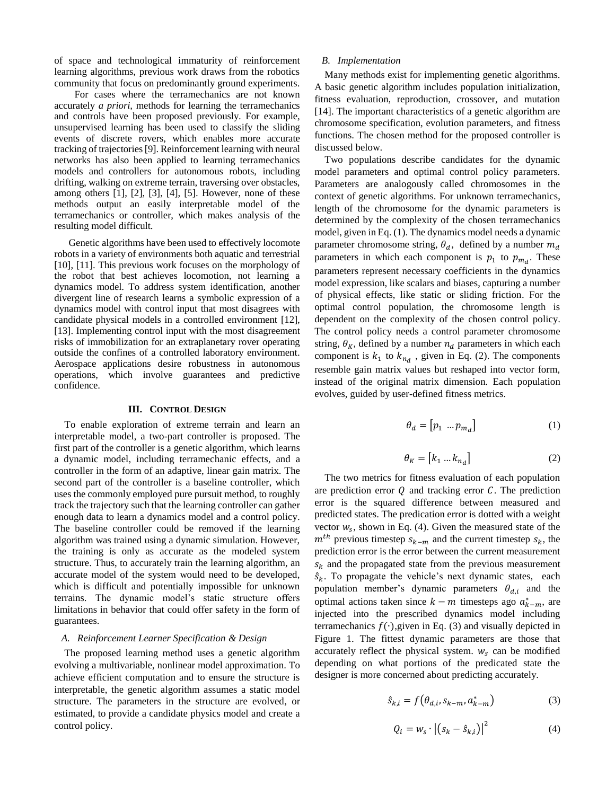of space and technological immaturity of reinforcement learning algorithms, previous work draws from the robotics community that focus on predominantly ground experiments.

For cases where the terramechanics are not known accurately *a priori,* methods for learning the terramechanics and controls have been proposed previously. For example, unsupervised learning has been used to classify the sliding events of discrete rovers, which enables more accurate tracking of trajectories[9]. Reinforcement learning with neural networks has also been applied to learning terramechanics models and controllers for autonomous robots, including drifting, walking on extreme terrain, traversing over obstacles, among others [1], [2], [3], [4], [5]. However, none of these methods output an easily interpretable model of the terramechanics or controller, which makes analysis of the resulting model difficult.

Genetic algorithms have been used to effectively locomote robots in a variety of environments both aquatic and terrestrial [10], [11]. This previous work focuses on the morphology of the robot that best achieves locomotion, not learning a dynamics model. To address system identification, another divergent line of research learns a symbolic expression of a dynamics model with control input that most disagrees with candidate physical models in a controlled environment [12], [13]. Implementing control input with the most disagreement risks of immobilization for an extraplanetary rover operating outside the confines of a controlled laboratory environment. Aerospace applications desire robustness in autonomous operations, which involve guarantees and predictive confidence.

#### **III. CONTROL DESIGN**

To enable exploration of extreme terrain and learn an interpretable model, a two-part controller is proposed. The first part of the controller is a genetic algorithm, which learns a dynamic model, including terramechanic effects, and a controller in the form of an adaptive, linear gain matrix. The second part of the controller is a baseline controller, which uses the commonly employed pure pursuit method, to roughly track the trajectory such that the learning controller can gather enough data to learn a dynamics model and a control policy. The baseline controller could be removed if the learning algorithm was trained using a dynamic simulation. However, the training is only as accurate as the modeled system structure. Thus, to accurately train the learning algorithm, an accurate model of the system would need to be developed, which is difficult and potentially impossible for unknown terrains. The dynamic model's static structure offers limitations in behavior that could offer safety in the form of guarantees.

#### *A. Reinforcement Learner Specification & Design*

The proposed learning method uses a genetic algorithm evolving a multivariable, nonlinear model approximation. To achieve efficient computation and to ensure the structure is interpretable, the genetic algorithm assumes a static model structure. The parameters in the structure are evolved, or estimated, to provide a candidate physics model and create a control policy.

#### *B. Implementation*

Many methods exist for implementing genetic algorithms. A basic genetic algorithm includes population initialization, fitness evaluation, reproduction, crossover, and mutation [14]. The important characteristics of a genetic algorithm are chromosome specification, evolution parameters, and fitness functions. The chosen method for the proposed controller is discussed below.

Two populations describe candidates for the dynamic model parameters and optimal control policy parameters. Parameters are analogously called chromosomes in the context of genetic algorithms. For unknown terramechanics, length of the chromosome for the dynamic parameters is determined by the complexity of the chosen terramechanics model, given in Eq. (1). The dynamics model needs a dynamic parameter chromosome string,  $\theta_d$ , defined by a number  $m_d$ parameters in which each component is  $p_1$  to  $p_{m_d}$ . These parameters represent necessary coefficients in the dynamics model expression, like scalars and biases, capturing a number of physical effects, like static or sliding friction. For the optimal control population, the chromosome length is dependent on the complexity of the chosen control policy. The control policy needs a control parameter chromosome string,  $\theta_K$ , defined by a number  $n_d$  parameters in which each component is  $k_1$  to  $k_{n_d}$ , given in Eq. (2). The components resemble gain matrix values but reshaped into vector form, instead of the original matrix dimension. Each population evolves, guided by user-defined fitness metrics.

$$
\theta_d = \begin{bmatrix} p_1 & \dots & p_{m_d} \end{bmatrix} \tag{1}
$$

$$
\theta_K = [k_1 \dots k_{n_d}] \tag{2}
$$

The two metrics for fitness evaluation of each population are prediction error  $Q$  and tracking error  $C$ . The prediction error is the squared difference between measured and predicted states. The predication error is dotted with a weight vector  $w_s$ , shown in Eq. (4). Given the measured state of the  $m^{th}$  previous timestep  $s_{k-m}$  and the current timestep  $s_k$ , the prediction error is the error between the current measurement  $s_k$  and the propagated state from the previous measurement  $\hat{s}_k$ . To propagate the vehicle's next dynamic states, each population member's dynamic parameters  $\theta_{d,i}$  and the optimal actions taken since  $k - m$  timesteps ago  $a_{k-m}^*$ , are injected into the prescribed dynamics model including terramechanics  $f(·)$ , given in Eq. (3) and visually depicted in Figure 1. The fittest dynamic parameters are those that accurately reflect the physical system.  $w_s$  can be modified depending on what portions of the predicated state the designer is more concerned about predicting accurately.

$$
\hat{s}_{k,i} = f\left(\theta_{d,i}, s_{k-m}, a_{k-m}^*\right) \tag{3}
$$

$$
Q_i = w_s \cdot \left| \left( s_k - \hat{s}_{k,i} \right) \right|^2 \tag{4}
$$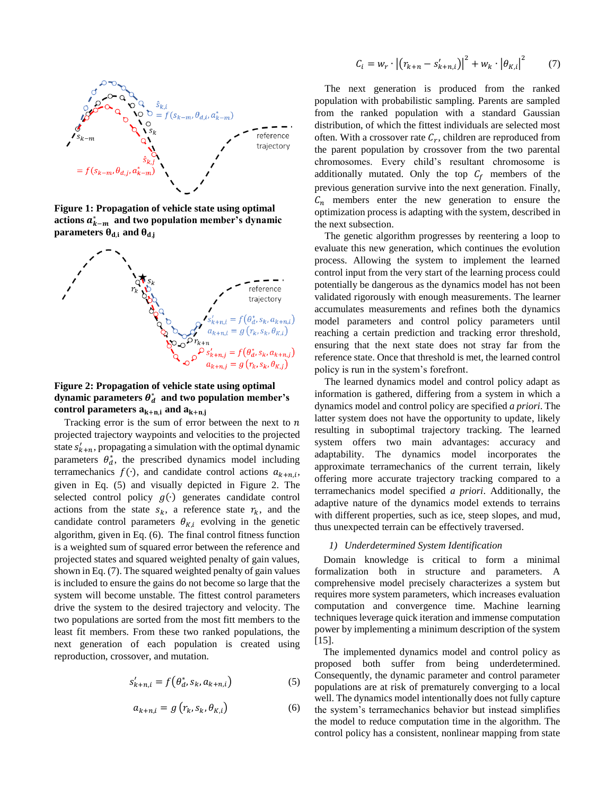

**Figure 1: Propagation of vehicle state using optimal**   $\mathbf{a}_{k-m}^*$  and two population member's dynamic **parameters**  $\theta_{d,i}$  and  $\theta_{d,i}$ 



# **Figure 2: Propagation of vehicle state using optimal**   $\alpha$  dynamic parameters  $\theta_d^*$  and two population member's **control** parameters  $a_{k+n,i}$  and  $a_{k+n,j}$

Tracking error is the sum of error between the next to  $n$ projected trajectory waypoints and velocities to the projected state  $s'_{k+n}$ , propagating a simulation with the optimal dynamic parameters  $\theta_d^*$ , the prescribed dynamics model including terramechanics  $f(·)$ , and candidate control actions  $a_{k+n,i}$ , given in Eq. (5) and visually depicted in Figure 2. The selected control policy  $g(·)$  generates candidate control actions from the state  $s_k$ , a reference state  $r_k$ , and the candidate control parameters  $\theta_{K,i}$  evolving in the genetic algorithm, given in Eq. (6). The final control fitness function is a weighted sum of squared error between the reference and projected states and squared weighted penalty of gain values, shown in Eq. (7). The squared weighted penalty of gain values is included to ensure the gains do not become so large that the system will become unstable. The fittest control parameters drive the system to the desired trajectory and velocity. The two populations are sorted from the most fitt members to the least fit members. From these two ranked populations, the next generation of each population is created using reproduction, crossover, and mutation.

$$
s'_{k+n,i} = f(\theta_d^*, s_k, a_{k+n,i})
$$
\n<sup>(5)</sup>

$$
a_{k+n,i} = g(r_k, s_k, \theta_{K,i})
$$
 (6)

$$
C_i = w_r \cdot |(r_{k+n} - s'_{k+n,i})|^2 + w_k \cdot |\theta_{K,i}|^2 \qquad (7)
$$

The next generation is produced from the ranked population with probabilistic sampling. Parents are sampled from the ranked population with a standard Gaussian distribution, of which the fittest individuals are selected most often. With a crossover rate  $C_r$ , children are reproduced from the parent population by crossover from the two parental chromosomes. Every child's resultant chromosome is additionally mutated. Only the top  $C_f$  members of the previous generation survive into the next generation. Finally,  $C_n$  members enter the new generation to ensure the optimization process is adapting with the system, described in the next subsection.

The genetic algorithm progresses by reentering a loop to evaluate this new generation, which continues the evolution process. Allowing the system to implement the learned control input from the very start of the learning process could potentially be dangerous as the dynamics model has not been validated rigorously with enough measurements. The learner accumulates measurements and refines both the dynamics model parameters and control policy parameters until reaching a certain prediction and tracking error threshold, ensuring that the next state does not stray far from the reference state. Once that threshold is met, the learned control policy is run in the system's forefront.

The learned dynamics model and control policy adapt as information is gathered, differing from a system in which a dynamics model and control policy are specified *a priori*. The latter system does not have the opportunity to update, likely resulting in suboptimal trajectory tracking. The learned system offers two main advantages: accuracy and adaptability. The dynamics model incorporates the approximate terramechanics of the current terrain, likely offering more accurate trajectory tracking compared to a terramechanics model specified *a priori*. Additionally, the adaptive nature of the dynamics model extends to terrains with different properties, such as ice, steep slopes, and mud, thus unexpected terrain can be effectively traversed.

## *1) Underdetermined System Identification*

Domain knowledge is critical to form a minimal formalization both in structure and parameters. A comprehensive model precisely characterizes a system but requires more system parameters, which increases evaluation computation and convergence time. Machine learning techniques leverage quick iteration and immense computation power by implementing a minimum description of the system [15].

The implemented dynamics model and control policy as proposed both suffer from being underdetermined. Consequently, the dynamic parameter and control parameter populations are at risk of prematurely converging to a local well. The dynamics model intentionally does not fully capture the system's terramechanics behavior but instead simplifies the model to reduce computation time in the algorithm. The control policy has a consistent, nonlinear mapping from state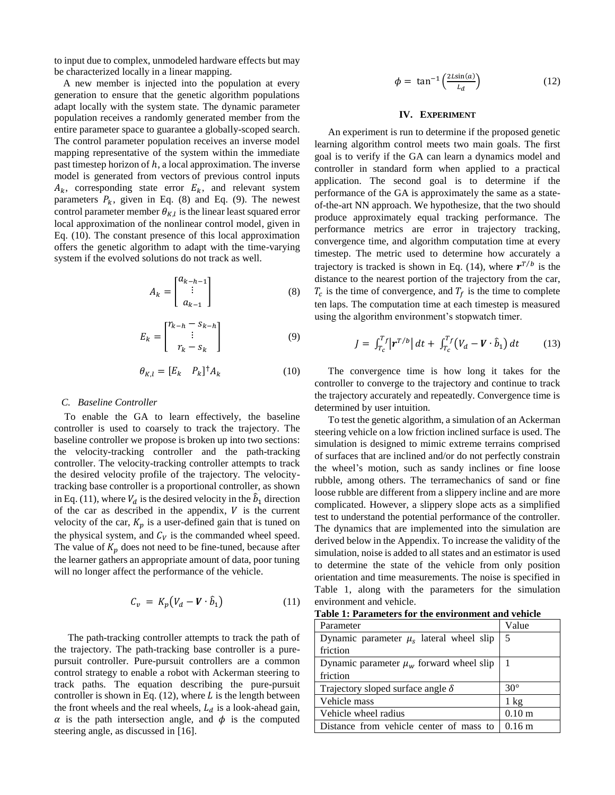to input due to complex, unmodeled hardware effects but may be characterized locally in a linear mapping.

A new member is injected into the population at every generation to ensure that the genetic algorithm populations adapt locally with the system state. The dynamic parameter population receives a randomly generated member from the entire parameter space to guarantee a globally-scoped search. The control parameter population receives an inverse model mapping representative of the system within the immediate past timestep horizon of  $h$ , a local approximation. The inverse model is generated from vectors of previous control inputs  $A_k$ , corresponding state error  $E_k$ , and relevant system parameters  $P_k$ , given in Eq. (8) and Eq. (9). The newest control parameter member  $\theta_{K,l}$  is the linear least squared error local approximation of the nonlinear control model, given in Eq. (10). The constant presence of this local approximation offers the genetic algorithm to adapt with the time-varying system if the evolved solutions do not track as well.

$$
A_k = \begin{bmatrix} a_{k-h-1} \\ \vdots \\ a_{k-1} \end{bmatrix} \tag{8}
$$

$$
E_k = \begin{bmatrix} r_{k-h} - s_{k-h} \\ \vdots \\ r_k - s_k \end{bmatrix}
$$
 (9)

$$
\theta_{K,l} = [E_k \quad P_k]^{\dagger} A_k \tag{10}
$$

#### *C. Baseline Controller*

To enable the GA to learn effectively, the baseline controller is used to coarsely to track the trajectory. The baseline controller we propose is broken up into two sections: the velocity-tracking controller and the path-tracking controller. The velocity-tracking controller attempts to track the desired velocity profile of the trajectory. The velocitytracking base controller is a proportional controller, as shown in Eq. (11), where  $V_d$  is the desired velocity in the  $\hat{b}_1$  direction of the car as described in the appendix,  $V$  is the current velocity of the car,  $K_p$  is a user-defined gain that is tuned on the physical system, and  $C_V$  is the commanded wheel speed. The value of  $K_p$  does not need to be fine-tuned, because after the learner gathers an appropriate amount of data, poor tuning will no longer affect the performance of the vehicle.

$$
C_v = K_p \big( V_d - \boldsymbol{V} \cdot \boldsymbol{\hat{b}}_1 \big) \tag{11}
$$

The path-tracking controller attempts to track the path of the trajectory. The path-tracking base controller is a purepursuit controller. Pure-pursuit controllers are a common control strategy to enable a robot with Ackerman steering to track paths. The equation describing the pure-pursuit controller is shown in Eq.  $(12)$ , where L is the length between the front wheels and the real wheels,  $L_d$  is a look-ahead gain,  $\alpha$  is the path intersection angle, and  $\phi$  is the computed steering angle, as discussed in [16].

$$
\phi = \tan^{-1}\left(\frac{2L\sin(a)}{L_d}\right) \tag{12}
$$

#### **IV. EXPERIMENT**

An experiment is run to determine if the proposed genetic learning algorithm control meets two main goals. The first goal is to verify if the GA can learn a dynamics model and controller in standard form when applied to a practical application. The second goal is to determine if the performance of the GA is approximately the same as a stateof-the-art NN approach. We hypothesize, that the two should produce approximately equal tracking performance. The performance metrics are error in trajectory tracking, convergence time, and algorithm computation time at every timestep. The metric used to determine how accurately a trajectory is tracked is shown in Eq. (14), where  $r^{T/b}$  is the distance to the nearest portion of the trajectory from the car,  $T_c$  is the time of convergence, and  $T_f$  is the time to complete ten laps. The computation time at each timestep is measured using the algorithm environment's stopwatch timer.

$$
J = \int_{T_c}^{T_f} \left| \mathbf{r}^{T/b} \right| dt + \int_{T_c}^{T_f} \left( V_d - \mathbf{V} \cdot \hat{b}_1 \right) dt \tag{13}
$$

The convergence time is how long it takes for the controller to converge to the trajectory and continue to track the trajectory accurately and repeatedly. Convergence time is determined by user intuition.

To test the genetic algorithm, a simulation of an Ackerman steering vehicle on a low friction inclined surface is used. The simulation is designed to mimic extreme terrains comprised of surfaces that are inclined and/or do not perfectly constrain the wheel's motion, such as sandy inclines or fine loose rubble, among others. The terramechanics of sand or fine loose rubble are different from a slippery incline and are more complicated. However, a slippery slope acts as a simplified test to understand the potential performance of the controller. The dynamics that are implemented into the simulation are derived below in the Appendix. To increase the validity of the simulation, noise is added to all states and an estimator is used to determine the state of the vehicle from only position orientation and time measurements. The noise is specified in Table 1, along with the parameters for the simulation environment and vehicle.

| Table 1: Parameters for the environment and vehicle |  |  |  |  |
|-----------------------------------------------------|--|--|--|--|
|-----------------------------------------------------|--|--|--|--|

| Parameter                                    | Value              |
|----------------------------------------------|--------------------|
| Dynamic parameter $\mu_s$ lateral wheel slip | l 5                |
| friction                                     |                    |
| Dynamic parameter $\mu_w$ forward wheel slip |                    |
| friction                                     |                    |
| Trajectory sloped surface angle $\delta$     | $30^\circ$         |
| Vehicle mass                                 | $1 \text{ kg}$     |
| Vehicle wheel radius                         | 0.10 <sub>m</sub>  |
| Distance from vehicle center of mass to      | $0.16 \; \text{m}$ |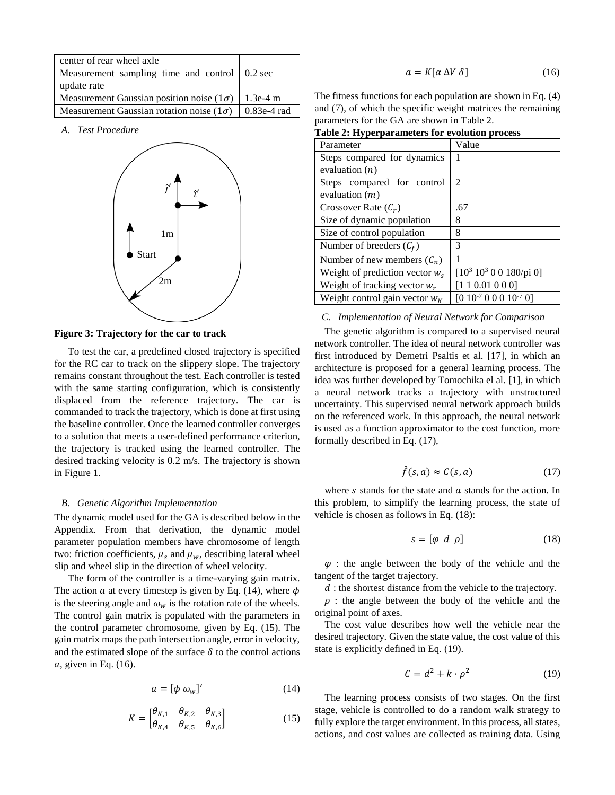| center of rear wheel axle                                     |  |
|---------------------------------------------------------------|--|
| Measurement sampling time and control   0.2 sec               |  |
| update rate                                                   |  |
| Measurement Gaussian position noise $(1\sigma)$   1.3e-4 m    |  |
| Measurement Gaussian rotation noise $(1\sigma)$   0.83e-4 rad |  |

*A. Test Procedure*



### **Figure 3: Trajectory for the car to track**

To test the car, a predefined closed trajectory is specified for the RC car to track on the slippery slope. The trajectory remains constant throughout the test. Each controller is tested with the same starting configuration, which is consistently displaced from the reference trajectory. The car is commanded to track the trajectory, which is done at first using the baseline controller. Once the learned controller converges to a solution that meets a user-defined performance criterion, the trajectory is tracked using the learned controller. The desired tracking velocity is 0.2 m/s. The trajectory is shown in Figure 1.

### *B. Genetic Algorithm Implementation*

The dynamic model used for the GA is described below in the Appendix. From that derivation, the dynamic model parameter population members have chromosome of length two: friction coefficients,  $\mu_s$  and  $\mu_w$ , describing lateral wheel slip and wheel slip in the direction of wheel velocity.

The form of the controller is a time-varying gain matrix. The action  $\alpha$  at every timestep is given by Eq. (14), where  $\phi$ is the steering angle and  $\omega_w$  is the rotation rate of the wheels. The control gain matrix is populated with the parameters in the control parameter chromosome, given by Eq. (15). The gain matrix maps the path intersection angle, error in velocity, and the estimated slope of the surface  $\delta$  to the control actions  $a$ , given in Eq. (16).

$$
a = [\phi \ \omega_w]'
$$
 (14)

$$
K = \begin{bmatrix} \theta_{K,1} & \theta_{K,2} & \theta_{K,3} \\ \theta_{K,4} & \theta_{K,5} & \theta_{K,6} \end{bmatrix} \tag{15}
$$

$$
a = K[\alpha \Delta V \delta]
$$
 (16)

The fitness functions for each population are shown in Eq. (4) and (7), of which the specific weight matrices the remaining parameters for the GA are shown in [Table 2.](#page-4-0)

<span id="page-4-0"></span>

| Table 2: Hyperparameters for evolution process |  |  |
|------------------------------------------------|--|--|
|                                                |  |  |

| Parameter                         | Value                         |
|-----------------------------------|-------------------------------|
| Steps compared for dynamics       | 1                             |
| evaluation $(n)$                  |                               |
| Steps compared for control        | $\mathfrak{D}$                |
| evaluation $(m)$                  |                               |
| Crossover Rate $(C_r)$            | .67                           |
| Size of dynamic population        | 8                             |
| Size of control population        | 8                             |
| Number of breeders $(C_f)$        | 3                             |
| Number of new members $(C_n)$     |                               |
| Weight of prediction vector $w_s$ | $[10^3 10^3 0 0 180$ /pi 0]   |
| Weight of tracking vector $w_r$   | [1 1 0.01 0 0 0]              |
| Weight control gain vector $W_K$  | $[0 10^{-7} 0 0 0 10^{-7} 0]$ |

### *C. Implementation of Neural Network for Comparison*

The genetic algorithm is compared to a supervised neural network controller. The idea of neural network controller was first introduced by Demetri Psaltis et al. [17], in which an architecture is proposed for a general learning process. The idea was further developed by Tomochika el al. [1], in which a neural network tracks a trajectory with unstructured uncertainty. This supervised neural network approach builds on the referenced work. In this approach, the neural network is used as a function approximator to the cost function, more formally described in Eq. (17),

$$
\hat{f}(s,a) \approx \mathcal{C}(s,a) \tag{17}
$$

where  $s$  stands for the state and  $\alpha$  stands for the action. In this problem, to simplify the learning process, the state of vehicle is chosen as follows in Eq. (18):

$$
s = [\varphi \ d \ \rho] \tag{18}
$$

 $\varphi$ : the angle between the body of the vehicle and the tangent of the target trajectory.

d : the shortest distance from the vehicle to the trajectory.

 $\rho$ : the angle between the body of the vehicle and the original point of axes.

The cost value describes how well the vehicle near the desired trajectory. Given the state value, the cost value of this state is explicitly defined in Eq. (19).

$$
C = d^2 + k \cdot \rho^2 \tag{19}
$$

The learning process consists of two stages. On the first stage, vehicle is controlled to do a random walk strategy to fully explore the target environment. In this process, all states, actions, and cost values are collected as training data. Using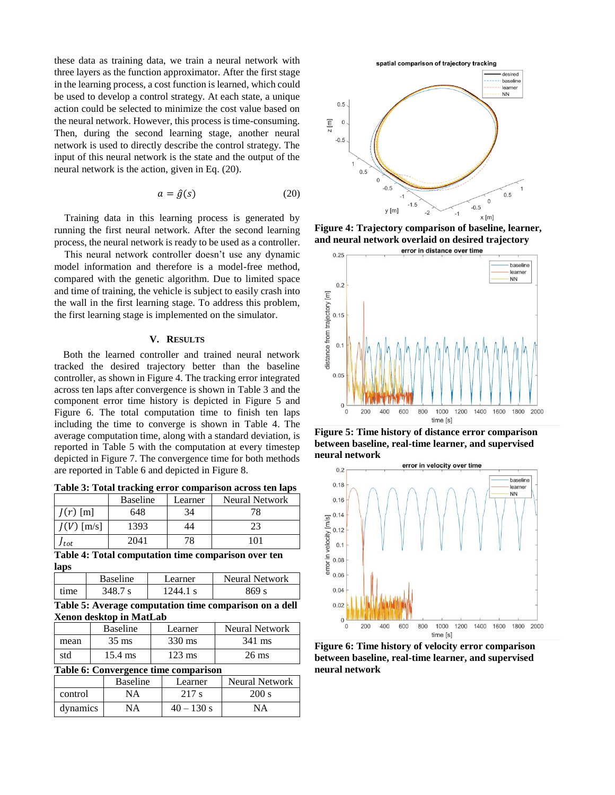these data as training data, we train a neural network with three layers as the function approximator. After the first stage in the learning process, a cost function is learned, which could be used to develop a control strategy. At each state, a unique action could be selected to minimize the cost value based on the neural network. However, this process is time-consuming. Then, during the second learning stage, another neural network is used to directly describe the control strategy. The input of this neural network is the state and the output of the neural network is the action, given in Eq. (20).

$$
a = \hat{g}(s) \tag{20}
$$

Training data in this learning process is generated by running the first neural network. After the second learning process, the neural network is ready to be used as a controller.

This neural network controller doesn't use any dynamic model information and therefore is a model-free method, compared with the genetic algorithm. Due to limited space and time of training, the vehicle is subject to easily crash into the wall in the first learning stage. To address this problem, the first learning stage is implemented on the simulator.

## **V. RESULTS**

Both the learned controller and trained neural network tracked the desired trajectory better than the baseline controller, as shown i[n Figure 4.](#page-5-0) The tracking error integrated across ten laps after convergence is shown in [Table 3](#page-5-1) and the component error time history is depicted in [Figure 5](#page-5-2) and [Figure 6.](#page-5-3) The total computation time to finish ten laps including the time to converge is shown in [Table 4.](#page-5-4) The average computation time, along with a standard deviation, is reported in [Table 5](#page-5-5) with the computation at every timestep depicted i[n Figure 7.](#page-6-0) The convergence time for both methods are reported in [Table 6](#page-5-6) and depicted in [Figure 8.](#page-6-1)

<span id="page-5-1"></span>**Table 3: Total tracking error comparison across ten laps**

|              | <b>Baseline</b> | Learner | Neural Network |
|--------------|-----------------|---------|----------------|
| $J(r)$ [m]   | 648             | 34      | 78             |
| $J(V)$ [m/s] | 1393            | 14      | 23             |
| Jtot         | 2041            | 78      | $\Omega$       |

<span id="page-5-4"></span>**Table 4: Total computation time comparison over ten laps**

|    | <b>Baseline</b> | Learner | <b>Neural Network</b> |
|----|-----------------|---------|-----------------------|
| me | $-348$ $-$      |         | 869.                  |

<span id="page-5-5"></span>**Table 5: Average computation time comparison on a dell Xenon desktop in MatLab**

|                                      | <b>Baseline</b>   | Learner          | <b>Neural Network</b> |  |
|--------------------------------------|-------------------|------------------|-----------------------|--|
| mean                                 | $35 \text{ ms}$   | $330 \text{ ms}$ | 341 ms                |  |
| std                                  | $15.4 \text{ ms}$ | $123 \text{ ms}$ | 26 ms                 |  |
| Table 6: Convergence time comparison |                   |                  |                       |  |

<span id="page-5-6"></span>

|          | <b>Baseline</b> | Learner      | Neural Network |
|----------|-----------------|--------------|----------------|
| control  | NΑ              | 217 s        | 200 s          |
| dynamics | NA              | $40 - 130$ s | NΑ             |



<span id="page-5-0"></span>**Figure 4: Trajectory comparison of baseline, learner, and neural network overlaid on desired trajectory**



<span id="page-5-2"></span>**Figure 5: Time history of distance error comparison between baseline, real-time learner, and supervised neural network**



<span id="page-5-3"></span>**Figure 6: Time history of velocity error comparison between baseline, real-time learner, and supervised neural network**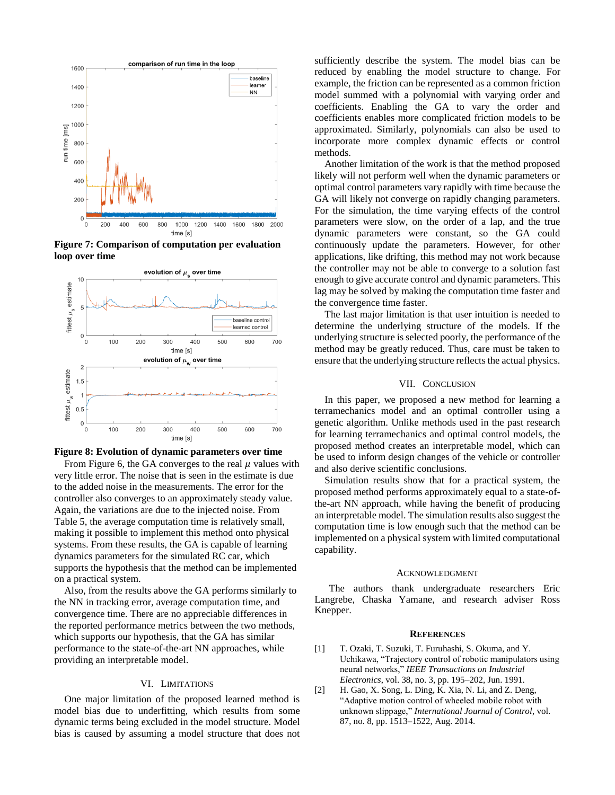

<span id="page-6-0"></span>**Figure 7: Comparison of computation per evaluation loop over time**



## <span id="page-6-1"></span>**Figure 8: Evolution of dynamic parameters over time**

From Figure 6, the GA converges to the real  $\mu$  values with very little error. The noise that is seen in the estimate is due to the added noise in the measurements. The error for the controller also converges to an approximately steady value. Again, the variations are due to the injected noise. From Table 5, the average computation time is relatively small, making it possible to implement this method onto physical systems. From these results, the GA is capable of learning dynamics parameters for the simulated RC car, which supports the hypothesis that the method can be implemented on a practical system.

Also, from the results above the GA performs similarly to the NN in tracking error, average computation time, and convergence time. There are no appreciable differences in the reported performance metrics between the two methods, which supports our hypothesis, that the GA has similar performance to the state-of-the-art NN approaches, while providing an interpretable model.

#### VI. LIMITATIONS

One major limitation of the proposed learned method is model bias due to underfitting, which results from some dynamic terms being excluded in the model structure. Model bias is caused by assuming a model structure that does not

sufficiently describe the system. The model bias can be reduced by enabling the model structure to change. For example, the friction can be represented as a common friction model summed with a polynomial with varying order and coefficients. Enabling the GA to vary the order and coefficients enables more complicated friction models to be approximated. Similarly, polynomials can also be used to incorporate more complex dynamic effects or control methods.

Another limitation of the work is that the method proposed likely will not perform well when the dynamic parameters or optimal control parameters vary rapidly with time because the GA will likely not converge on rapidly changing parameters. For the simulation, the time varying effects of the control parameters were slow, on the order of a lap, and the true dynamic parameters were constant, so the GA could continuously update the parameters. However, for other applications, like drifting, this method may not work because the controller may not be able to converge to a solution fast enough to give accurate control and dynamic parameters. This lag may be solved by making the computation time faster and the convergence time faster.

The last major limitation is that user intuition is needed to determine the underlying structure of the models. If the underlying structure is selected poorly, the performance of the method may be greatly reduced. Thus, care must be taken to ensure that the underlying structure reflects the actual physics.

#### VII. CONCLUSION

In this paper, we proposed a new method for learning a terramechanics model and an optimal controller using a genetic algorithm. Unlike methods used in the past research for learning terramechanics and optimal control models, the proposed method creates an interpretable model, which can be used to inform design changes of the vehicle or controller and also derive scientific conclusions.

Simulation results show that for a practical system, the proposed method performs approximately equal to a state-ofthe-art NN approach, while having the benefit of producing an interpretable model. The simulation results also suggest the computation time is low enough such that the method can be implemented on a physical system with limited computational capability.

#### ACKNOWLEDGMENT

The authors thank undergraduate researchers Eric Langrebe, Chaska Yamane, and research adviser Ross Knepper.

#### **REFERENCES**

- [1] T. Ozaki, T. Suzuki, T. Furuhashi, S. Okuma, and Y. Uchikawa, "Trajectory control of robotic manipulators using neural networks," *IEEE Transactions on Industrial Electronics*, vol. 38, no. 3, pp. 195–202, Jun. 1991.
- [2] H. Gao, X. Song, L. Ding, K. Xia, N. Li, and Z. Deng, "Adaptive motion control of wheeled mobile robot with unknown slippage," *International Journal of Control*, vol. 87, no. 8, pp. 1513–1522, Aug. 2014.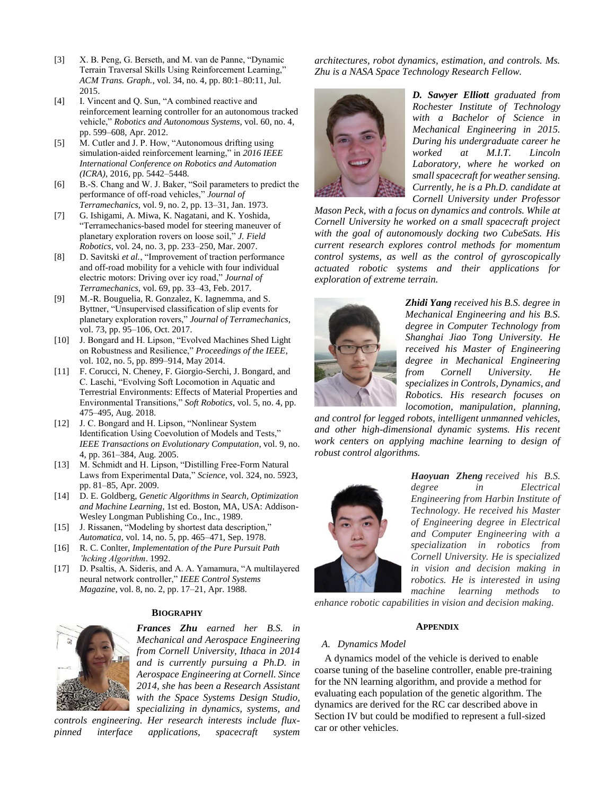- [3] X. B. Peng, G. Berseth, and M. van de Panne, "Dynamic Terrain Traversal Skills Using Reinforcement Learning," *ACM Trans. Graph.*, vol. 34, no. 4, pp. 80:1–80:11, Jul. 2015.
- [4] I. Vincent and Q. Sun, "A combined reactive and reinforcement learning controller for an autonomous tracked vehicle," *Robotics and Autonomous Systems*, vol. 60, no. 4, pp. 599–608, Apr. 2012.
- [5] M. Cutler and J. P. How, "Autonomous drifting using simulation-aided reinforcement learning," in *2016 IEEE International Conference on Robotics and Automation (ICRA)*, 2016, pp. 5442–5448.
- [6] B.-S. Chang and W. J. Baker, "Soil parameters to predict the performance of off-road vehicles," *Journal of Terramechanics*, vol. 9, no. 2, pp. 13–31, Jan. 1973.
- [7] G. Ishigami, A. Miwa, K. Nagatani, and K. Yoshida, "Terramechanics-based model for steering maneuver of planetary exploration rovers on loose soil," *J. Field Robotics*, vol. 24, no. 3, pp. 233–250, Mar. 2007.
- [8] D. Savitski *et al.*, "Improvement of traction performance and off-road mobility for a vehicle with four individual electric motors: Driving over icy road," *Journal of Terramechanics*, vol. 69, pp. 33–43, Feb. 2017.
- [9] M.-R. Bouguelia, R. Gonzalez, K. Iagnemma, and S. Byttner, "Unsupervised classification of slip events for planetary exploration rovers," *Journal of Terramechanics*, vol. 73, pp. 95–106, Oct. 2017.
- [10] J. Bongard and H. Lipson, "Evolved Machines Shed Light on Robustness and Resilience," *Proceedings of the IEEE*, vol. 102, no. 5, pp. 899–914, May 2014.
- [11] F. Corucci, N. Cheney, F. Giorgio-Serchi, J. Bongard, and C. Laschi, "Evolving Soft Locomotion in Aquatic and Terrestrial Environments: Effects of Material Properties and Environmental Transitions," *Soft Robotics*, vol. 5, no. 4, pp. 475–495, Aug. 2018.
- [12] J. C. Bongard and H. Lipson, "Nonlinear System Identification Using Coevolution of Models and Tests," *IEEE Transactions on Evolutionary Computation*, vol. 9, no. 4, pp. 361–384, Aug. 2005.
- [13] M. Schmidt and H. Lipson, "Distilling Free-Form Natural Laws from Experimental Data," *Science*, vol. 324, no. 5923, pp. 81–85, Apr. 2009.
- [14] D. E. Goldberg, *Genetic Algorithms in Search, Optimization and Machine Learning*, 1st ed. Boston, MA, USA: Addison-Wesley Longman Publishing Co., Inc., 1989.
- [15] J. Rissanen, "Modeling by shortest data description," *Automatica*, vol. 14, no. 5, pp. 465–471, Sep. 1978.
- [16] R. C. Conlter, *Implementation of the Pure Pursuit Path 'hcking Algorithm*. 1992.
- [17] D. Psaltis, A. Sideris, and A. A. Yamamura, "A multilayered neural network controller," *IEEE Control Systems Magazine*, vol. 8, no. 2, pp. 17–21, Apr. 1988.

### **BIOGRAPHY**



*Frances Zhu earned her B.S. in Mechanical and Aerospace Engineering from Cornell University, Ithaca in 2014 and is currently pursuing a Ph.D. in Aerospace Engineering at Cornell. Since 2014, she has been a Research Assistant with the Space Systems Design Studio, specializing in dynamics, systems, and* 

*controls engineering. Her research interests include fluxpinned interface applications, spacecraft system* 

*architectures, robot dynamics, estimation, and controls. Ms. Zhu is a NASA Space Technology Research Fellow.*



*D. Sawyer Elliott graduated from Rochester Institute of Technology with a Bachelor of Science in Mechanical Engineering in 2015. During his undergraduate career he worked at M.I.T. Lincoln Laboratory, where he worked on small spacecraft for weather sensing. Currently, he is a Ph.D. candidate at Cornell University under Professor* 

*Mason Peck, with a focus on dynamics and controls. While at Cornell University he worked on a small spacecraft project with the goal of autonomously docking two CubeSats. His current research explores control methods for momentum control systems, as well as the control of gyroscopically actuated robotic systems and their applications for exploration of extreme terrain.*



*Zhidi Yang received his B.S. degree in Mechanical Engineering and his B.S. degree in Computer Technology from Shanghai Jiao Tong University. He received his Master of Engineering degree in Mechanical Engineering from Cornell University. He specializes in Controls, Dynamics, and Robotics. His research focuses on locomotion, manipulation, planning,* 

*and control for legged robots, intelligent unmanned vehicles, and other high-dimensional dynamic systems. His recent work centers on applying machine learning to design of robust control algorithms.*



*Haoyuan Zheng received his B.S. degree in Electrical Engineering from Harbin Institute of Technology. He received his Master of Engineering degree in Electrical and Computer Engineering with a specialization in robotics from Cornell University. He is specialized in vision and decision making in robotics. He is interested in using machine learning methods to* 

*enhance robotic capabilities in vision and decision making.*

### **APPENDIX**

## *A. Dynamics Model*

A dynamics model of the vehicle is derived to enable coarse tuning of the baseline controller, enable pre-training for the NN learning algorithm, and provide a method for evaluating each population of the genetic algorithm. The dynamics are derived for the RC car described above in Section IV but could be modified to represent a full-sized car or other vehicles.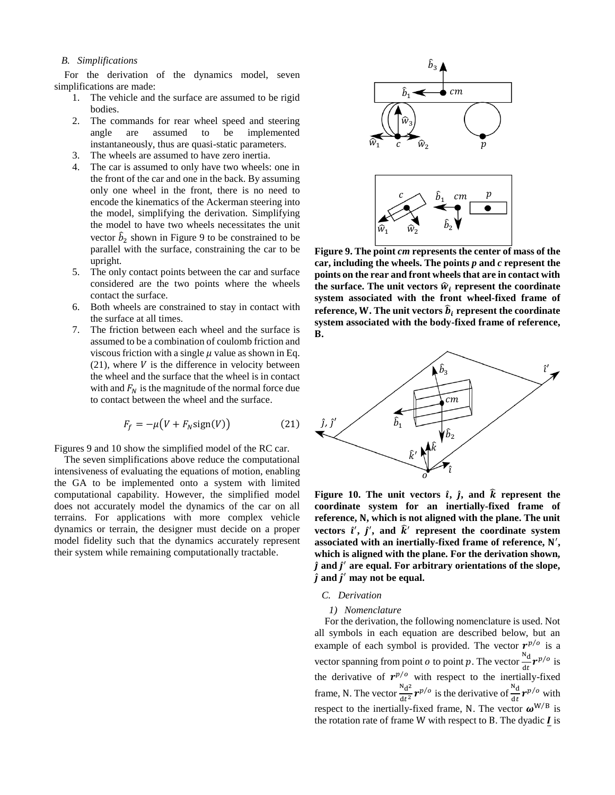## *B. Simplifications*

For the derivation of the dynamics model, seven simplifications are made:

- 1. The vehicle and the surface are assumed to be rigid bodies.
- 2. The commands for rear wheel speed and steering angle are assumed to be implemented instantaneously, thus are quasi-static parameters.
- 3. The wheels are assumed to have zero inertia.
- 4. The car is assumed to only have two wheels: one in the front of the car and one in the back. By assuming only one wheel in the front, there is no need to encode the kinematics of the Ackerman steering into the model, simplifying the derivation. Simplifying the model to have two wheels necessitates the unit vector  $\hat{b}_2$  shown in [Figure 9](#page-8-0) to be constrained to be parallel with the surface, constraining the car to be upright.
- 5. The only contact points between the car and surface considered are the two points where the wheels contact the surface.
- 6. Both wheels are constrained to stay in contact with the surface at all times.
- 7. The friction between each wheel and the surface is assumed to be a combination of coulomb friction and viscous friction with a single  $\mu$  value as shown in Eq.  $(21)$ , where V is the difference in velocity between the wheel and the surface that the wheel is in contact with and  $F_N$  is the magnitude of the normal force due to contact between the wheel and the surface.

$$
F_f = -\mu \big( V + F_N \text{sign}(V) \big) \tag{21}
$$

Figures 9 and 10 show the simplified model of the RC car.

The seven simplifications above reduce the computational intensiveness of evaluating the equations of motion, enabling the GA to be implemented onto a system with limited computational capability. However, the simplified model does not accurately model the dynamics of the car on all terrains. For applications with more complex vehicle dynamics or terrain, the designer must decide on a proper model fidelity such that the dynamics accurately represent their system while remaining computationally tractable.



<span id="page-8-0"></span>**Figure 9. The point** *cm* **represents the center of mass of the car, including the wheels. The points** *p* **and** *c* **represent the points on the rear and front wheels that are in contact with**  the surface. The unit vectors  $\hat{w}_i$  represent the coordinate **system associated with the front wheel-fixed frame of**  reference, W. The unit vectors  $\widehat{\bm{b}}_{\bm{i}}$  represent the coordinate **system associated with the body-fixed frame of reference, .**



**Figure 10. The unit vectors**  $\hat{i}$ **,**  $\hat{j}$ **, and**  $\hat{k}$  **represent the coordinate system for an inertially-fixed frame of reference, , which is not aligned with the plane. The unit vectors**  $\hat{\mathbf{i}}'$ ,  $\hat{\mathbf{j}}'$ , and  $\hat{\mathbf{k}}'$  represent the coordinate system **associated with an inertially-fixed frame of reference,**  ′ **, which is aligned with the plane. For the derivation shown,**  ̂**and** ̂ ′ **are equal. For arbitrary orientations of the slope,**  ̂**and** ̂ ′ **may not be equal.**

## *C. Derivation*

### *1) Nomenclature*

For the derivation, the following nomenclature is used. Not all symbols in each equation are described below, but an example of each symbol is provided. The vector  $r^{p/o}$  is a vector spanning from point *o* to point *p*. The vector  $\frac{N_d}{dt}$  $\frac{d}{dt} r^{p/o}$  is the derivative of  $r^{p/o}$  with respect to the inertially-fixed frame, N. The vector  $\frac{N_d^2}{dt^2}$  $\frac{N_{d}^{2}}{dt^{2}}$   $\boldsymbol{r}^{p/o}$  is the derivative of  $\frac{N_{d}}{dt}$  $\frac{d}{dt} r^{p/o}$  with respect to the inertially-fixed frame, N. The vector  $\boldsymbol{\omega}^{W/B}$  is the rotation rate of frame W with respect to B. The dyadic  $\boldsymbol{I}$  is